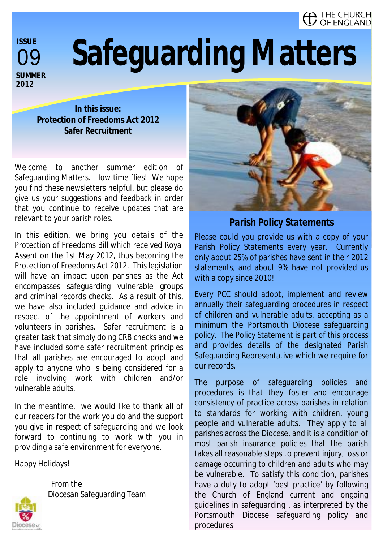#### . THE CHURCH OF ENGLAND

09 **ISSUE SUMMER 2012** 

# **Safeguarding Matters**

**In this issue: Protection of Freedoms Act 2012 Safer Recruitment** 

Welcome to another summer edition of Safeguarding Matters. How time flies! We hope you find these newsletters helpful, but please do give us your suggestions and feedback in order that you continue to receive updates that are relevant to your parish roles.

In this edition, we bring you details of the Protection of Freedoms Bill which received Royal Assent on the 1st May 2012, thus becoming the Protection of Freedoms Act 2012. This legislation will have an impact upon parishes as the Act encompasses safeguarding vulnerable groups and criminal records checks. As a result of this, we have also included guidance and advice in respect of the appointment of workers and volunteers in parishes. Safer recruitment is a greater task that simply doing CRB checks and we have included some safer recruitment principles that all parishes are encouraged to adopt and apply to anyone who is being considered for a role involving work with children and/or vulnerable adults.

In the meantime, we would like to thank all of our readers for the work you do and the support you give in respect of safeguarding and we look forward to continuing to work with you in providing a safe environment for everyone.

Diocesan Safeguarding Team

Happy Holidays!

From the





*Parish Policy Statements* 

Please could you provide us with a copy of your Parish Policy Statements every year. Currently only about 25% of parishes have sent in their 2012 statements, and about 9% have not provided us with a copy since 2010!

Every PCC should adopt, implement and review annually their safeguarding procedures in respect of children and vulnerable adults, accepting as a minimum the Portsmouth Diocese safeguarding policy. The Policy Statement is part of this process and provides details of the designated Parish Safeguarding Representative which we require for our records.

The purpose of safeguarding policies and procedures is that they foster and encourage consistency of practice across parishes in relation to standards for working with children, young people and vulnerable adults. They apply to all parishes across the Diocese, and it is a condition of most parish insurance policies that the parish takes all reasonable steps to prevent injury, loss or damage occurring to children and adults who may be vulnerable. To satisfy this condition, parishes have a duty to adopt 'best practice' by following the Church of England current and ongoing guidelines in safeguarding , as interpreted by the Portsmouth Diocese safeguarding policy and procedures.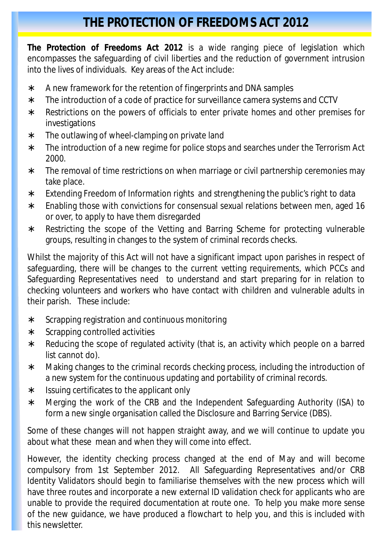### **THE PROTECTION OF FREEDOMS ACT 2012**

**The Protection of Freedoms Act 2012** is a wide ranging piece of legislation which encompasses the safeguarding of civil liberties and the reduction of government intrusion into the lives of individuals. Key areas of the Act include:

- ∗ A new framework for the retention of fingerprints and DNA samples
- ∗ The introduction of a code of practice for surveillance camera systems and CCTV
- ∗ Restrictions on the powers of officials to enter private homes and other premises for investigations
- ∗ The outlawing of wheel-clamping on private land
- ∗ The introduction of a new regime for police stops and searches under the Terrorism Act 2000.
- ∗ The removal of time restrictions on when marriage or civil partnership ceremonies may take place.
- ∗ Extending Freedom of Information rights and strengthening the public's right to data
- ∗ Enabling those with convictions for consensual sexual relations between men, aged 16 or over, to apply to have them disregarded
- ∗ Restricting the scope of the Vetting and Barring Scheme for protecting vulnerable groups, resulting in changes to the system of criminal records checks.

Whilst the majority of this Act will not have a significant impact upon parishes in respect of safeguarding, there will be changes to the current vetting requirements, which PCCs and Safeguarding Representatives need to understand and start preparing for in relation to checking volunteers and workers who have contact with children and vulnerable adults in their parish. These include:

- ∗ Scrapping registration and continuous monitoring
- ∗ Scrapping controlled activities
- ∗ Reducing the scope of regulated activity (that is, an activity which people on a barred list cannot do).
- ∗ Making changes to the criminal records checking process, including the introduction of a new system for the continuous updating and portability of criminal records.
- ∗ Issuing certificates to the applicant only
- ∗ Merging the work of the CRB and the Independent Safeguarding Authority (ISA) to form a new single organisation called the Disclosure and Barring Service (DBS).

Some of these changes will not happen straight away, and we will continue to update you about what these mean and when they will come into effect.

However, the identity checking process changed at the end of May and will become compulsory from 1st September 2012. All Safeguarding Representatives and/or CRB Identity Validators should begin to familiarise themselves with the new process which will have three routes and incorporate a new external ID validation check for applicants who are unable to provide the required documentation at route one. To help you make more sense of the new guidance, we have produced a flowchart to help you, and this is included with this newsletter.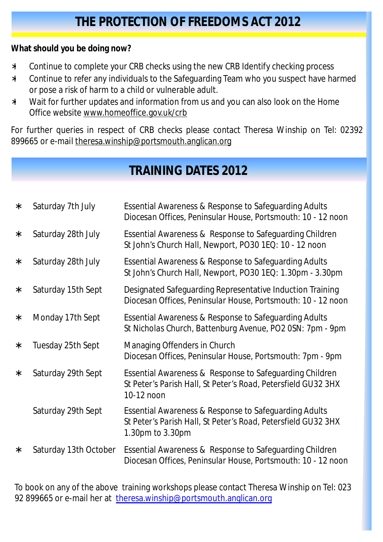**What should you be doing now?**

- ∗ Continue to complete your CRB checks using the new CRB Identify checking process
- ∗ Continue to refer any individuals to the Safeguarding Team who you suspect have harmed or pose a risk of harm to a child or vulnerable adult.
- ∗ Wait for further updates and information from us and you can also look on the Home Office website [www.homeoffice.gov.uk/crb](http://www.homeoffice.gov.uk/crb)

For further queries in respect of CRB checks please contact Theresa Winship on Tel: 02392 899665 or e-mail [theresa.winship@portsmouth.anglican.org](mailto:theresa.winship@portsmouth.anglican.org) 

## **TRAINING DATES 2012**

| $\ast$ | Saturday 7th July     | <b>Essential Awareness &amp; Response to Safeguarding Adults</b><br>Diocesan Offices, Peninsular House, Portsmouth: 10 - 12 noon           |
|--------|-----------------------|--------------------------------------------------------------------------------------------------------------------------------------------|
| $\ast$ | Saturday 28th July    | Essential Awareness & Response to Safeguarding Children<br>St John's Church Hall, Newport, PO30 1EQ: 10 - 12 noon                          |
| $\ast$ | Saturday 28th July    | Essential Awareness & Response to Safeguarding Adults<br>St John's Church Hall, Newport, PO30 1EQ: 1.30pm - 3.30pm                         |
| $\ast$ | Saturday 15th Sept    | Designated Safeguarding Representative Induction Training<br>Diocesan Offices, Peninsular House, Portsmouth: 10 - 12 noon                  |
| $\ast$ | Monday 17th Sept      | Essential Awareness & Response to Safeguarding Adults<br>St Nicholas Church, Battenburg Avenue, PO2 0SN: 7pm - 9pm                         |
| $\ast$ | Tuesday 25th Sept     | <b>Managing Offenders in Church</b><br>Diocesan Offices, Peninsular House, Portsmouth: 7pm - 9pm                                           |
| $\ast$ | Saturday 29th Sept    | Essential Awareness & Response to Safeguarding Children<br>St Peter's Parish Hall, St Peter's Road, Petersfield GU32 3HX<br>10-12 noon     |
|        | Saturday 29th Sept    | Essential Awareness & Response to Safeguarding Adults<br>St Peter's Parish Hall, St Peter's Road, Petersfield GU32 3HX<br>1.30pm to 3.30pm |
| ∗      | Saturday 13th October | Essential Awareness & Response to Safeguarding Children<br>Diocesan Offices, Peninsular House, Portsmouth: 10 - 12 noon                    |

To book on any of the above training workshops please contact Theresa Winship on Tel: 023 92 899665 or e-mail her at [theresa.winship@portsmouth.anglican.org](mailto:theresa.winship@portsmouth.anglican.org)